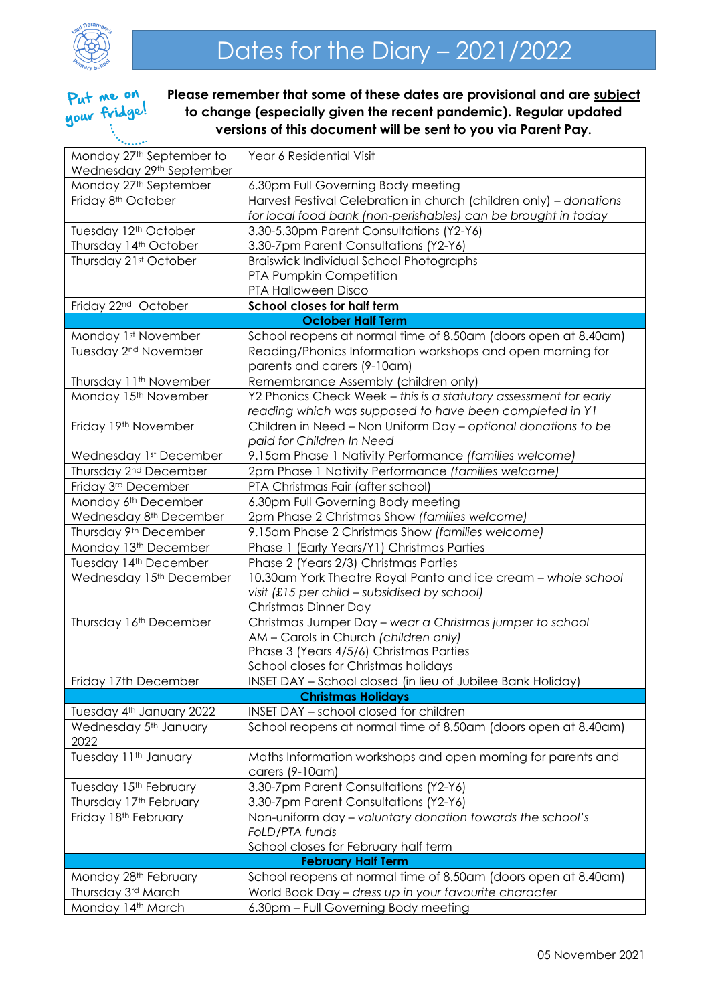

## Put me on your fridge!

**Please remember that some of these dates are provisional and are subject to change (especially given the recent pandemic). Regular updated versions of this document will be sent to you via Parent Pay.**

| Monday 27 <sup>th</sup> September to                           | Year 6 Residential Visit                                                                                                 |  |
|----------------------------------------------------------------|--------------------------------------------------------------------------------------------------------------------------|--|
| Wednesday 29th September                                       |                                                                                                                          |  |
| Monday 27 <sup>th</sup> September                              | 6.30pm Full Governing Body meeting                                                                                       |  |
| Friday 8 <sup>th</sup> October                                 | Harvest Festival Celebration in church (children only) - donations                                                       |  |
|                                                                | for local food bank (non-perishables) can be brought in today                                                            |  |
| Tuesday 12 <sup>th</sup> October                               | 3.30-5.30pm Parent Consultations (Y2-Y6)                                                                                 |  |
| Thursday 14th October                                          | 3.30-7pm Parent Consultations (Y2-Y6)                                                                                    |  |
| Thursday 21st October                                          | Braiswick Individual School Photographs                                                                                  |  |
|                                                                | PTA Pumpkin Competition                                                                                                  |  |
|                                                                | PTA Halloween Disco                                                                                                      |  |
| School closes for half term<br>Friday 22 <sup>nd</sup> October |                                                                                                                          |  |
| <b>October Half Term</b>                                       |                                                                                                                          |  |
| Monday 1st November                                            | School reopens at normal time of 8.50am (doors open at 8.40am)                                                           |  |
| Tuesday 2 <sup>nd</sup> November                               | Reading/Phonics Information workshops and open morning for                                                               |  |
|                                                                | parents and carers (9-10am)                                                                                              |  |
| Thursday 11 <sup>th</sup> November<br>Monday 15th November     | Remembrance Assembly (children only)<br>Y2 Phonics Check Week - this is a statutory assessment for early                 |  |
|                                                                |                                                                                                                          |  |
| Friday 19th November                                           | reading which was supposed to have been completed in Y1<br>Children in Need - Non Uniform Day - optional donations to be |  |
|                                                                | paid for Children In Need                                                                                                |  |
| Wednesday 1st December                                         | 9.15am Phase 1 Nativity Performance (families welcome)                                                                   |  |
| Thursday 2 <sup>nd</sup> December                              | 2pm Phase 1 Nativity Performance (families welcome)                                                                      |  |
| Friday 3rd December                                            | PTA Christmas Fair (after school)                                                                                        |  |
| Monday 6 <sup>th</sup> December                                | 6.30pm Full Governing Body meeting                                                                                       |  |
| Wednesday 8 <sup>th</sup> December                             | 2pm Phase 2 Christmas Show (families welcome)                                                                            |  |
| Thursday 9th December                                          | 9.15am Phase 2 Christmas Show (families welcome)                                                                         |  |
| Monday 13th December                                           | Phase 1 (Early Years/Y1) Christmas Parties                                                                               |  |
| Tuesday 14th December                                          | Phase 2 (Years 2/3) Christmas Parties                                                                                    |  |
| Wednesday 15th December                                        | 10.30am York Theatre Royal Panto and ice cream - whole school                                                            |  |
|                                                                | visit (£15 per child - subsidised by school)                                                                             |  |
|                                                                | Christmas Dinner Day                                                                                                     |  |
| Thursday 16th December                                         | Christmas Jumper Day - wear a Christmas jumper to school                                                                 |  |
|                                                                | AM - Carols in Church (children only)                                                                                    |  |
|                                                                | Phase 3 (Years 4/5/6) Christmas Parties                                                                                  |  |
|                                                                | School closes for Christmas holidays                                                                                     |  |
| Friday 17th December                                           | INSET DAY - School closed (in lieu of Jubilee Bank Holiday)                                                              |  |
| <b>Christmas Holidays</b>                                      |                                                                                                                          |  |
| Tuesday 4th January 2022                                       | INSET DAY - school closed for children                                                                                   |  |
| Wednesday 5 <sup>th</sup> January<br>2022                      | School reopens at normal time of 8.50am (doors open at 8.40am)                                                           |  |
| Tuesday 11 <sup>th</sup> January                               | Maths Information workshops and open morning for parents and                                                             |  |
|                                                                | carers (9-10am)                                                                                                          |  |
| Tuesday 15 <sup>th</sup> February                              | 3.30-7pm Parent Consultations (Y2-Y6)                                                                                    |  |
| Thursday 17th February                                         | 3.30-7pm Parent Consultations (Y2-Y6)                                                                                    |  |
| Friday 18 <sup>th</sup> February                               | Non-uniform day - voluntary donation towards the school's                                                                |  |
|                                                                | FoLD/PTA funds                                                                                                           |  |
|                                                                | School closes for February half term                                                                                     |  |
| <b>February Half Term</b>                                      |                                                                                                                          |  |
| Monday 28th February                                           | School reopens at normal time of 8.50am (doors open at 8.40am)                                                           |  |
| Thursday 3rd March                                             | World Book Day - dress up in your favourite character                                                                    |  |
| Monday 14th March                                              | 6.30pm - Full Governing Body meeting                                                                                     |  |